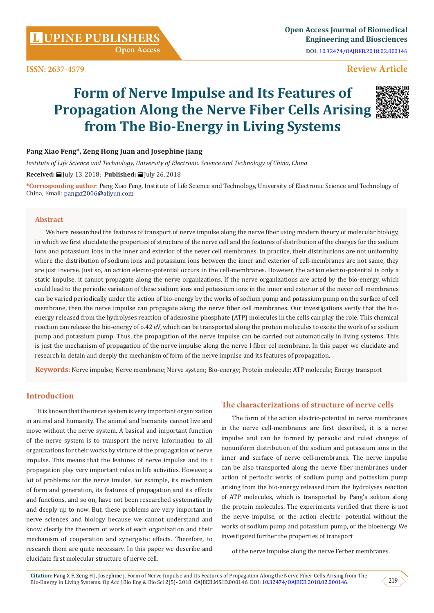**ISSN: 2637-4579**

# **Review Article**

# **Form of Nerve Impulse and Its Features of Propagation Along the Nerve Fiber Cells Arising from The Bio-Energy in Living Systems**



*Institute of Life Science and Technology, University of Electronic Science and Technology of China, China*

Received: **■** July 13, 2018; Published: ■ July 26, 2018

**\*Corresponding author:** Pang Xiao Feng, Institute of Life Science and Technology, University of Electronic Science and Technology of China, Email: pangxf2006@aliyun.com

#### **Abstract**

We here researched the features of transport of nerve impulse along the nerve fiber using modern theory of molecular biology, in which we first elucidate the properties of structure of the nerve cell and the features of distribution of the charges for the sodium ions and potassium ions in the inner and exterior of the never cell membranes. In practice, their distributions are not uniformity, where the distribution of sodium ions and potassium ions between the inner and exterior of cell-membranes are not same, they are just inverse. Just so, an action electro-potential occurs in the cell-membranes. However, the action electro-potential is only a static impulse, it cannot propagate along the nerve organizations. If the nerve organizations are acted by the bio-energy, which could lead to the periodic variation of these sodium ions and potassium ions in the inner and exterior of the never cell membranes can be varied periodically under the action of bio-energy by the works of sodium pump and potassium pump on the surface of cell membrane, then the nerve impulse can propagate along the nerve fiber cell membranes. Our investigations verify that the bioenergy released from the hydrolyses reaction of adenosine phosphate (ATP) molecules in the cells can play the role. This chemical reaction can release the bio-energy of o.42 eV, which can be transported along the protein molecules to excite the work of se sodium pump and potassium pump. Thus, the propagation of the nerve impulse can be carried out automatically in living systems. This is just the mechanism of propagation of the nerve impulse along the nerve l fiber cel membrane. In this paper we elucidate and research in detain and deeply the mechanism of form of the nerve impulse and its features of propagation.

**Keywords:** Nerve impulse; Nerve membrane; Nerve system; Bio-energy; Protein molecule; ATP molecule; Energy transport

# **Introduction**

It is known that the nerve system is very important organization in animal and humanity. The animal and humanity cannot live and move without the nerve system. A basical and important function of the nerve system is to transport the nerve information to all organizations for their works by virture of the propagation of nerve impulse. This means that the features of nerve impulse and its t propagation play very important rules in life activities. However, a lot of problems for the nerve imulse, for example, its mechanism of form and generation, its features of propagation and its effects and functions, and so on, have not been researched systematically and deeply up to now. But, these problems are very important in nerve sciences and biology because we cannot understand and know clearly the theorem of work of each organization and their mechanism of cooperation and synergistic effects. Therefore, to research them are quite necessary. In this paper we describe and elucidate first molecular structure of nerve cell.

### **The characterizations of structure of nerve cells**

The form of the action electric-potential in nerve membranes in the nerve cell-membranes are first described, it is a nerve impulse and can be formed by periodic and ruled changes of nonuniform distribution of the sodium and potassium ions in the inner and surface of nerve cell-membranes. The nerve impulse can be also transported along the nerve fiber membranes under action of periodic works of sodium pump and potassium pump arising from the bio-energy released from the hydrolyses reaction of ATP molecules, which is transported by Pang's soliton along the protein molecules. The experiments verified that there is not the nerve impulse, or the action electric- potential without the works of sodium pump and potassium pump, or the bioenergy. We investigated further the properties of transport

of the nerve impulse along the nerve Ferber membranes.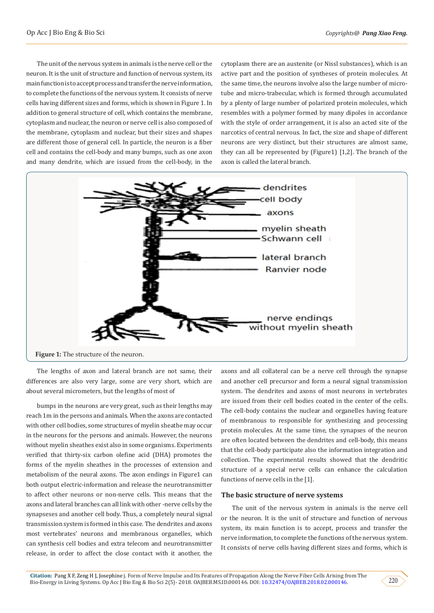The unit of the nervous system in animals is the nerve cell or the neuron. It is the unit of structure and function of nervous system, its main function is to accept process and transfer the nerve information, to complete the functions of the nervous system. It consists of nerve cells having different sizes and forms, which is shown in Figure 1. In addition to general structure of cell, which contains the membrane, cytoplasm and nuclear, the neuron or nerve cell is also composed of the membrane, cytoplasm and nuclear, but their sizes and shapes are different those of general cell. In particle, the neuron is a fiber cell and contains the cell-body and many bumps, such as one axon and many dendrite, which are issued from the cell-body, in the

cytoplasm there are an austenite (or Nissl substances), which is an active part and the position of syntheses of protein molecules. At the same time, the neurons involve also the large number of microtube and micro-trabecular, which is formed through accumulated by a plenty of large number of polarized protein molecules, which resembles with a polymer formed by many dipoles in accordance with the style of order arrangement, it is also an acted site of the narcotics of central nervous. In fact, the size and shape of different neurons are very distinct, but their structures are almost same, they can all be represented by (Figure1) [1,2]. The branch of the axon is called the lateral branch.



The lengths of axon and lateral branch are not same, their differences are also very large, some are very short, which are about several micrometers, but the lengths of most of

bumps in the neurons are very great, such as their lengths may reach 1m in the persons and animals. When the axons are contacted with other cell bodies, some structures of myelin sheathe may occur in the neurons for the persons and animals. However, the neurons without myelin sheathes exist also in some organisms. Experiments verified that thirty-six carbon olefine acid (DHA) promotes the forms of the myelin sheathes in the processes of extension and metabolism of the neural axons. The axon endings in Figure1 can both output electric-information and release the neurotransmitter to affect other neurons or non-nerve cells. This means that the axons and lateral branches can all link with other -nerve cells by the synapseses and another cell body. Thus, a completely neural signal transmission system is formed in this case. The dendrites and axons most vertebrates' neurons and membranous organelles, which can synthesis cell bodies and extra telecom and neurotransmitter release, in order to affect the close contact with it another, the

axons and all collateral can be a nerve cell through the synapse and another cell precursor and form a neural signal transmission system. The dendrites and axons of most neurons in vertebrates are issued from their cell bodies coated in the center of the cells. The cell-body contains the nuclear and organelles having feature of membranous to responsible for synthesizing and processing protein molecules. At the same time, the synapses of the neuron are often located between the dendrites and cell-body, this means that the cell-body participate also the information integration and collection. The experimental results showed that the dendritic structure of a special nerve cells can enhance the calculation functions of nerve cells in the [1].

#### **The basic structure of nerve systems**

The unit of the nervous system in animals is the nerve cell or the neuron. It is the unit of structure and function of nervous system, its main function is to accept, process and transfer the nerve information, to complete the functions of the nervous system. It consists of nerve cells having different sizes and forms, which is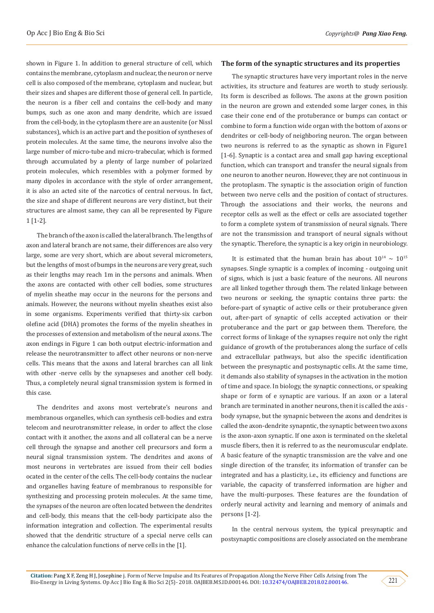shown in Figure 1. In addition to general structure of cell, which contains the membrane, cytoplasm and nuclear, the neuron or nerve cell is also composed of the membrane, cytoplasm and nuclear, but their sizes and shapes are different those of general cell. In particle, the neuron is a fiber cell and contains the cell-body and many bumps, such as one axon and many dendrite, which are issued from the cell-body, in the cytoplasm there are an austenite (or Nissl substances), which is an active part and the position of syntheses of protein molecules. At the same time, the neurons involve also the large number of micro-tube and micro-trabecular, which is formed through accumulated by a plenty of large number of polarized protein molecules, which resembles with a polymer formed by many dipoles in accordance with the style of order arrangement, it is also an acted site of the narcotics of central nervous. In fact, the size and shape of different neurons are very distinct, but their structures are almost same, they can all be represented by Figure 1 [1-2].

The branch of the axon is called the lateral branch. The lengths of axon and lateral branch are not same, their differences are also very large, some are very short, which are about several micrometers, but the lengths of most of bumps in the neurons are very great, such as their lengths may reach 1m in the persons and animals. When the axons are contacted with other cell bodies, some structures of myelin sheathe may occur in the neurons for the persons and animals. However, the neurons without myelin sheathes exist also in some organisms. Experiments verified that thirty-six carbon olefine acid (DHA) promotes the forms of the myelin sheathes in the processes of extension and metabolism of the neural axons. The axon endings in Figure 1 can both output electric-information and release the neurotransmitter to affect other neurons or non-nerve cells. This means that the axons and lateral brarches can all link with other -nerve cells by the synapseses and another cell body. Thus, a completely neural signal transmission system is formed in this case.

The dendrites and axons most vertebrate's neurons and membranous organelles, which can synthesis cell-bodies and extra telecom and neurotransmitter release, in order to affect the close contact with it another, the axons and all collateral can be a nerve cell through the synapse and another cell precursors and form a neural signal transmission system. The dendrites and axons of most neurons in vertebrates are issued from their cell bodies ocated in the center of the cells. The cell-body contains the nuclear and organelles having feature of membranous to responsible for synthesizing and processing protein molecules. At the same time, the synapses of the neuron are often located between the dendrites and cell-body, this means that the cell-body participate also the information integration and collection. The experimental results showed that the dendritic structure of a special nerve cells can enhance the calculation functions of nerve cells in the [1].

#### **The form of the synaptic structures and its properties**

The synaptic structures have very important roles in the nerve activities, its structure and features are worth to study seriously. Its form is described as follows. The axons at the grown position in the neuron are grown and extended some larger cones, in this case their cone end of the protuberance or bumps can contact or combine to form a function wide organ with the bottom of axons or dendrites or cell-body of neighboring neuron. The organ between two neurons is referred to as the synaptic as shown in Figure1 [1-6]. Synaptic is a contact area and small gap having exceptional function, which can transport and transfer the neural signals from one neuron to another neuron. However, they are not continuous in the protoplasm. The synaptic is the association origin of function between two nerve cells and the position of contact of structures. Through the associations and their works, the neurons and receptor cells as well as the effect or cells are associated together to form a complete system of transmission of neural signals. There are not the transmission and transport of neural signals without the synaptic. Therefore, the synaptic is a key origin in neurobiology.

It is estimated that the human brain has about  $10^{14} \sim 10^{15}$ synapses. Single synaptic is a complex of incoming - outgoing unit of signs, which is just a basic feature of the neurons. All neurons are all linked together through them. The related linkage between two neurons or seeking, the synaptic contains three parts: the before-part of synaptic of active cells or their protuberance given out, after-part of synaptic of cells accepted activation or their protuberance and the part or gap between them. Therefore, the correct forms of linkage of the synapses require not only the right guidance of growth of the protuberances along the surface of cells and extracellular pathways, but also the specific identification between the presynaptic and postsynaptic cells. At the same time, it demands also stability of synapses in the activation in the motion of time and space. In biology, the synaptic connections, or speaking shape or form of e synaptic are various. If an axon or a lateral branch are terminated in another neurons, then it is called the axis body synapse, but the synapnic between the axons and dendrites is called the axon-dendrite synapntic, the synaptic between two axons is the axon-axon synaptic. If one axon is terminated on the skeletal muscle fibers, then it is referred to as the neuromuscular endplate. A basic feature of the synaptic transmission are the valve and one single direction of the transfer, its information of transfer can be integrated and has a plasticity, i.e., its efficiency and functions are variable, the capacity of transferred information are higher and have the multi-purposes. These features are the foundation of orderly neural activity and learning and memory of animals and persons [1-2].

In the central nervous system, the typical presynaptic and postsynaptic compositions are closely associated on the membrane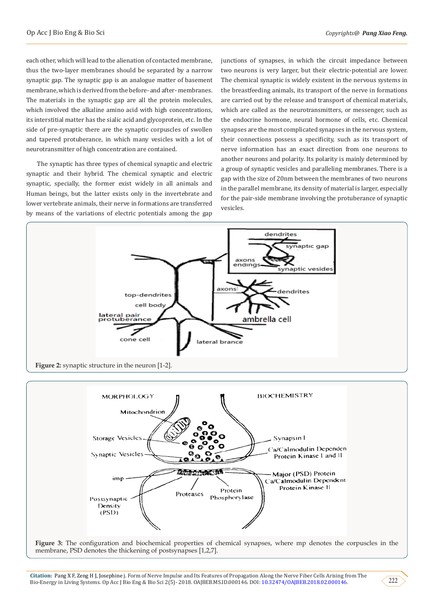each other, which will lead to the alienation of contacted membrane, thus the two-layer membranes should be separated by a narrow synaptic gap. The synaptic gap is an analogue matter of basement membrane, which is derived from the before- and after- membranes. The materials in the synaptic gap are all the protein molecules, which involved the alkaline amino acid with high concentrations, its interstitial matter has the sialic acid and glycoprotein, etc. In the side of pre-synaptic there are the synaptic corpuscles of swollen and tapered protuberance, in which many vesicles with a lot of neurotransmitter of high concentration are contained.

The synaptic has three types of chemical synaptic and electric synaptic and their hybrid. The chemical synaptic and electric synaptic, specially, the former exist widely in all animals and Human beings, but the latter exists only in the invertebrate and lower vertebrate animals, their nerve in formations are transferred by means of the variations of electric potentials among the gap

junctions of synapses, in which the circuit impedance between two neurons is very larger, but their electric-potential are lower. The chemical synaptic is widely existent in the nervous systems in the breastfeeding animals, its transport of the nerve in formations are carried out by the release and transport of chemical materials, which are called as the neurotransmitters, or messenger, such as the endocrine hormone, neural hormone of cells, etc. Chemical synapses are the most complicated synapses in the nervous system, their connections possess a specificity, such as its transport of nerve information has an exact direction from one neurons to another neurons and polarity. Its polarity is mainly determined by a group of synaptic vesicles and paralleling membranes. There is a gap with the size of 20nm between the membranes of two neurons in the parallel membrane, its density of material is larger, especially for the pair-side membrane involving the protuberance of synaptic vesicles.





**Figure 3:** The configuration and biochemical properties of chemical synapses, where mp denotes the corpuscles in the membrane, PSD denotes the thickening of postsynapses [1,2,7].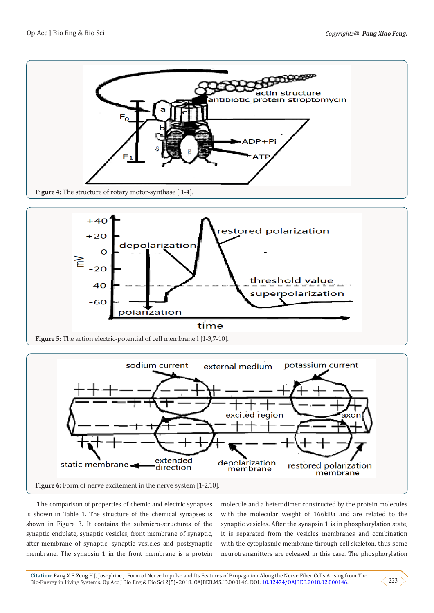





The comparison of properties of chemic and electric synapses is shown in Table 1. The structure of the chemical synapses is shown in Figure 3. It contains the submicro-structures of the synaptic endplate, synaptic vesicles, front membrane of synaptic, after-membrane of synaptic, synaptic vesicles and postsynaptic membrane. The synapsin 1 in the front membrane is a protein

molecule and a heterodimer constructed by the protein molecules with the molecular weight of 166kDa and are related to the synaptic vesicles. After the synapsin 1 is in phosphorylation state, it is separated from the vesicles membranes and combination with the cytoplasmic membrane through cell skeleton, thus some neurotransmitters are released in this case. The phosphorylation

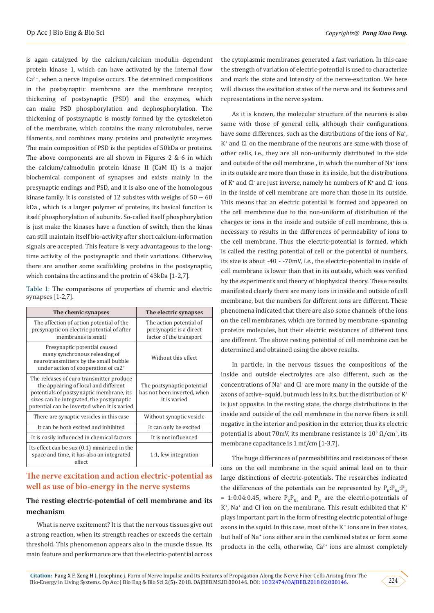is agan catalyzed by the calcium/calcium modulin dependent protein kinase 1, which can have activated by the internal flow  $Ca<sup>2+</sup>$ , when a nerve impulse occurs. The determined compositions in the postsynaptic membrane are the membrane receptor, thickening of postsynaptic (PSD) and the enzymes, which can make PSD phosphorylation and dephosphorylation. The thickening of postsynaptic is mostly formed by the cytoskeleton of the membrane, which contains the many microtubules, nerve filaments, and combines many proteins and proteolytic enzymes. The main composition of PSD is the peptides of 50kDa or proteins. The above components are all shown in Figures 2 & 6 in which the calcium/calmodulin protein kinase II (CaM II) is a major biochemical component of synapses and exists mainly in the presynaptic endings and PSD, and it is also one of the homologous kinase family. It is consisted of 12 subsites with weighs of  $50 \sim 60$ kDa , which is a larger polymer of proteins, its basical function is itself phosphorylation of subunits. So-called itself phosphorylation is just make the kinases have a function of switch, then the kinas can still maintain itself bio-activity after short calcium-information signals are accepted. This feature is very advantageous to the longtime activity of the postsynaptic and their variations. Otherwise, there are another some scaffolding proteins in the postsynaptic, which contains the actins and the protein of 43kDa [1-2,7].

|                      | Table 1: The comparisons of properties of chemic and electric |  |  |  |
|----------------------|---------------------------------------------------------------|--|--|--|
| synapses $[1-2,7]$ . |                                                               |  |  |  |

| The chemic synapses                                                                                                                                                                                                      | The electric synapses                                                         |  |  |  |
|--------------------------------------------------------------------------------------------------------------------------------------------------------------------------------------------------------------------------|-------------------------------------------------------------------------------|--|--|--|
| The affection of action potential of the<br>presynaptic on electric potential of after<br>membranes is small                                                                                                             | The action potential of<br>presynaptic is a direct<br>factor of the transport |  |  |  |
| Presynaptic potential caused<br>many synchronous releasing of<br>neurotransmitters by the small bubble<br>under action of cooperation of ca2 <sup>+</sup>                                                                | Without this effect.                                                          |  |  |  |
| The releases of euro transmitter produce<br>the appearing of local and different<br>potentials of postsynaptic membrane, its<br>sizes can be integrated, the postsynaptic<br>potential can be inverted when it is varied | The postsynaptic potential<br>has not been inverted, when<br>it is varied     |  |  |  |
| There are synaptic vesicles in this case                                                                                                                                                                                 | Without synaptic vesicle                                                      |  |  |  |
| It can be both excited and inhibited                                                                                                                                                                                     | It can only be excited                                                        |  |  |  |
| It is easily influenced in chemical factors                                                                                                                                                                              | It is not influenced                                                          |  |  |  |
| Its effect can be sux (0.1) mmarized in the<br>space and time, it has also an integrated<br>effect                                                                                                                       | 1:1, few integration                                                          |  |  |  |

# **The nerve excitation and action electric-potential as well as use of bio-energy in the nerve systems**

# **The resting electric-potential of cell membrane and its mechanism**

What is nerve excitement? It is that the nervous tissues give out a strong reaction, when its strength reaches or exceeds the certain threshold. This phenomenon appears also in the muscle tissue. Its main feature and performance are that the electric-potential across

the cytoplasmic membranes generated a fast variation. In this case the strength of variation of electric-potential is used to characterize and mark the state and intensity of the nerve-excitation. We here will discuss the excitation states of the nerve and its features and representations in the nerve system.

As it is known, the molecular structure of the neurons is also same with those of general cells, although their configurations have some differences, such as the distributions of the ions of Na<sup>+</sup>, K+ and Cl- on the membrane of the neurons are same with those of other cells, i.e., they are all non-uniformly distributed in the side and outside of the cell membrane , in which the number of Na+ ions in its outside are more than those in its inside, but the distributions of K<sup>+</sup> and Cl- are just inverse, namely he numbers of K<sup>+</sup> and Cl- ions in the inside of cell membrane are more than those in its outside. This means that an electric potential is formed and appeared on the cell membrane due to the non-uniform of distribution of the charges or ions in the inside and outside of cell membrane, this is necessary to results in the differences of permeability of ions to the cell membrane. Thus the electric-potential is formed, which is called the resting potential of cell or the potential of numbers, its size is about -40 - -70mV, i.e., the electric-potential in inside of cell membrane is lower than that in its outside, which was verified by the experiments and theory of biophysical theory. These results manifested clearly there are many ions in inside and outside of cell membrane, but the numbers for different ions are different. These phenomena indicated that there are also some channels of the ions on the cell membranes, which are formed by membrane -spanning proteins molecules, but their electric resistances of different ions are different. The above resting potential of cell membrane can be determined and obtained using the above results.

In particle, in the nervous tissues the compositions of the inside and outside electrolytes are also different, such as the concentrations of Na+ and Cl- are more many in the outside of the axons of active- squid, but much less in its, but the distribution of K<sup>+</sup> is just opposite. In the resting state, the charge distributions in the inside and outside of the cell membrane in the nerve fibers is still negative in the interior and position in the exterior, thus its electric potential is about 70mV, its membrane resistance is  $10^3 \Omega/cm^3$ , its membrane capacitance is 1 mf/cm [1-3,7].

The huge differences of permeabilities and resistances of these ions on the cell membrane in the squid animal lead on to their large distinctions of electric-potentials. The researches indicated the differences of the potentials can be represented by  $P_{\nu}$ : $P_{\nu}$ ,  $P_{\nu}$ = 1:0.04:0.45, where  $P_kP_{N_a}$  and  $P_{C_l}$  are the electric-potentials of K<sup>+</sup>, Na<sup>+</sup> and Cl<sup>-</sup> ion on the membrane. This result exhibited that K<sup>+</sup> plays important part in the form of resting electric potential of huge axons in the squid. In this case, most of the K<sup>+</sup> ions are in free states, but half of Na<sup>+</sup> ions either are in the combined states or form some products in the cells, otherwise,  $Ca^{2+}$  ions are almost completely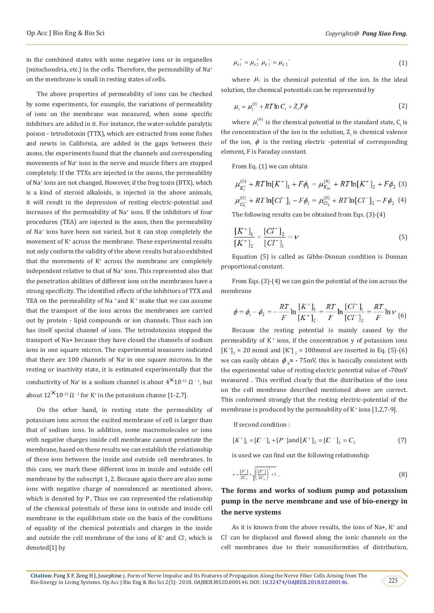in the combined states with some negative ions or in organelles (mitochondria, etc.) in the cells. Therefore, the permeability of Na+ on the membrane is small in resting states of cells.

The above properties of permeability of ions can be checked by some experiments, for example, the variations of permeability of ions on the membrane was measured, when some specific inhibitors are added in it. For instance, the water-soluble paralytic poison - tetrodotoxin (TTX), which are extracted from some fishes and newts in California, are added in the gaps between their axons, the experiments found that the channels and corresponding movements of Na<sup>+</sup> ions in the nerve and muscle fibers are stopped completely. If the TTXs are injected in the axons, the permeability of Na+ ions are not changed. However, if the frog toxin (BTX), which is a kind of steroid alkaloids, is injected in the above animals, it will result in the depression of resting electric-potential and increases of the permeability of Na+ ions. If the inhibitors of four procedures (TEA) are injected in the axon, then the permeability of Na+ ions have been not varied, but it can stop completely the movement of K<sup>+</sup> across the membrane. These experimental results not only conform the validity of the above results but also exhibited that the movements of K<sup>+</sup> across the membrane are completely independent relative to that of Na+ ions. This represented also that the penetration abilities of different ions on the membranes have a strong specificity. The identified effects of the inhibitors of TTX and TEA on the permeability of Na  $^*$  and K $^*$  make that we can assume that the transport of the ions across the membranes are carried out by protein - lipid compounds or ion channels. Thus each ion has itself special channel of ions. The tetrodotoxins stopped the transport of Na+ because they have closed the channels of sodium ions in one square micron. The experimental measures indicated that there are 100 channels of Na+ in one square microns. In the resting or inactivity state, it is estimated experimentally that the conductivity of Na<sup>+</sup> in a sodium channel is about  $4^{1/2} \Omega^{-1}$ , but about  $12^{\infty}10^{-12}$   $\Omega^{-1}$  for K<sup>+</sup> in the potassium channe [1-2,7].

On the other hand, in resting state the permeability of potassium ions across the excited membrane of cell is larger than that of sodium ions. In addition, some macromolecules or ions with negative charges inside cell membrane cannot penetrate the membrane, based on these results we can establish the relationship of these ions between the inside and outside cell membranes. In this case, we mark these different ions in inside and outside cell membrane by the subscript 1, 2. Because again there are also some ions with negative charge of nonvalenced as mentioned above, which is denoted by P- , Thus we can represented the relationship of the chemical potentials of these ions in outside and inside cell membrane in the equilibrium state on the basis of the conditions of equality of the chemical potentials and charges in the inside and outside the cell membrane of the ions of  $K^*$  and  $Cl^*$ , which is denoted[1] by

$$
\mu_{k1}^+ = \mu_{k2}^+ \mu_{\ell 1}^- = \mu_{\ell 2}^- \tag{1}
$$

where  $\mu_i$  is the chemical potential of the ion. In the ideal solution, the chemical potentials can be represented by

$$
\mu_i = \mu_i^{(0)} + RT \ln C_i + Z_i F \phi \tag{2}
$$

where  $\mu_i^{(0)}$  is the chemical potential in the standard state,  $C_i$  is the concentration of the ion in the solution,  $Z_{\rm i}$  is chemical valence of the ion,  $\phi$  is the resting electric -potential of corresponding element, F is Faraday constant.

From Eq. (1) we can obtain

$$
\mu_{K_1^+}^{(0)} + RT \ln[K^+]_1 + F\phi_1 = \mu_{K_{2+}}^{(0)} + RT \ln[K^+]_2 + F\phi_2 \tag{3}
$$

$$
\mu_{Cl_1^-}^{(0)} + RT \ln [Cl^-]_1 - F\phi_1 = \mu_{Cl_2}^{(0)} + RT \ln [Cl^-]_2 - F\phi_2 \tag{4}
$$

The following results can be obtained from Eqs. (3)-(4)

$$
\frac{[K^+]_1}{[K^+]_2} = \frac{[Cl^-]_2}{[Cl^-]_1} = \nu
$$
\n(5)

Equation (5) is called as Gibbs-Dsnnan condition is Donnan proportional constant.

From Eqs. (3)-(4) we can gain the potential of the ion across the membrane

$$
\phi = \phi_1 - \phi_2 = -\frac{RT}{F} \ln \frac{[K^+]_1}{[K^+]_2} = \frac{RT}{F} \ln \frac{[Cl^-]_1}{[Cl^-]_2} = \frac{RT}{F} \ln V \tag{6}
$$

Because the resting potential is mainly caused by the permeability of  $K^+$  ions, if the concentration y of potassium ions  $[K^+]_2 = 20$  mmol and  $[K^+]_1 = 100$ mmol are inserted in Eq. (5)-(6) we can easily obtain  $\phi_k$  =  $-75$ mV, this is basically consistent with the experimental value of resting electric potential value of **-**70mV measured . This verified clearly that the distribution of the ions on the cell membrane described mentioned above are correct. This conformed strongly that the resting electric-potential of the membrane is produced by the permeability of  $K^+$  ions [1,2,7-9].

If second condition :

$$
[K^+]_1 = [C^-]_1 + [P^-] \text{and} [K^+]_2 = [C^-]_2 = C_2 \tag{7}
$$

is used we can find out the following relationship

$$
\nu = \frac{[P^-]}{2C_2} + \sqrt{\frac{[P^-]}{2C_2}^2 + 1} \tag{8}
$$

# **The forms and works of sodium pump and potassium pump in the nerve membrane and use of bio-energy in the nerve systems**

As it is known from the above results, the ions of Na+, K<sup>+</sup> and Cl- can be displaced and flowed along the ionic channels on the cell membranes due to their nonuniformities of distribution,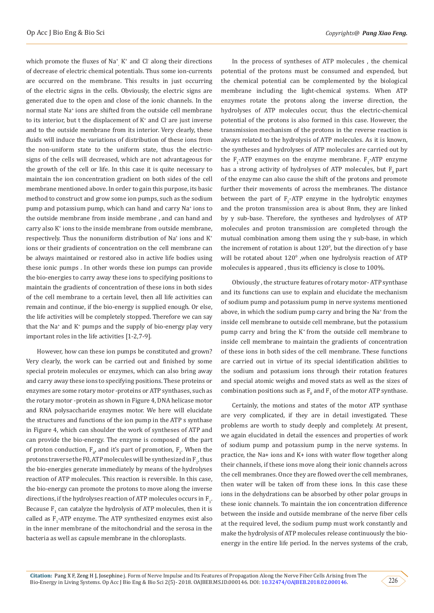which promote the fluxes of  $Na<sup>+</sup>$ ,  $K<sup>+</sup>$  and Cl along their directions , of decrease of electric chemical potentials. Thus some ion-currents are occurred on the membrane. This results in just occurring of the electric signs in the cells. Obviously, the electric signs are generated due to the open and close of the ionic channels. In the normal state Na<sup>+</sup> ions are shifted from the outside cell membrane to its interior, but t the displacement of  $K^*$  and  $Cl$  are just inverse and to the outside membrane from its interior. Very clearly, these fluids will induce the variations of distribution of these ions from the non-uniform state to the uniform state, thus the electricsigns of the cells will decreased, which are not advantageous for the growth of the cell or life. In this case it is quite necessary to maintain the ion concentration gradient on both sides of the cell membrane mentioned above. In order to gain this purpose, its basic method to construct and grow some ion pumps, such as the sodium pump and potassium pump, which can hand and carry Na<sup>+</sup> ions to the outside membrane from inside membrane , and can hand and carry also K<sup>+</sup> ions to the inside membrane from outside membrane, respectively. Thus the nonuniform distribution of Na+ ions and K<sup>+</sup> ions or their gradients of concentration on the cell membrane can be always maintained or restored also in active life bodies using these ionic pumps . In other words these ion pumps can provide the bio-energies to carry away these ions to specifying positions to maintain the gradients of concentration of these ions in both sides of the cell membrane to a certain level, then all life activities can remain and continue, if the bio-energy is supplied enough. Or else, the life activities will be completely stopped. Therefore we can say that the Na+ and K<sup>+</sup> pumps and the supply of bio-energy play very important roles in the life activities [1-2,7-9].

However, how can these ion pumps be constituted and grown? Very clearly, the work can be carried out and finished by some special protein molecules or enzymes, which can also bring away and carry away these ions to specifying positions. These proteins or enzymes are some rotary motor -proteins or ATP synthases, such as the rotary motor -protein as shown in Figure 4, DNA helicase motor and RNA polysaccharide enzymes motor. We here will elucidate the structures and functions of the ion pump in the ATP s synthase in Figure 4, which can shoulder the work of syntheses of ATP and can provide the bio-energy. The enzyme is composed of the part of proton conduction,  $F_{0}$ , and it's part of promotion,  $F_{1}$ . When the protons traverse the F0, ATP molecules will be synthesized in  ${\rm F}_{1'}$  thus the bio-energies generate immediately by means of the hydrolyses reaction of ATP molecules. This reaction is reversible. In this case, the bio-energy can promote the protons to move along the inverse directions, if the hydrolyses reaction of ATP molecules occurs in  $F_1$ . Because  $F_1$  can catalyze the hydrolysis of ATP molecules, then it is called as  $F_1$ -ATP enzyme. The ATP synthesized enzymes exist also in the inner membrane of the mitochondrial and the serosa in the bacteria as well as capsule membrane in the chloroplasts.

In the process of syntheses of ATP molecules , the chemical potential of the protons must be consumed and expended, but the chemical potential can be complemented by the biological membrane including the light-chemical systems. When ATP enzymes rotate the protons along the inverse direction, the hydrolyses of ATP molecules occur, thus the electric-chemical potential of the protons is also formed in this case. However, the transmission mechanism of the protons in the reverse reaction is always related to the hydrolysis of ATP molecules. As it is known, the syntheses and hydrolyses of ATP molecules are carried out by the  $F_1$ -ATP enzymes on the enzyme membrane.  $F_1$ -ATP enzyme has a strong activity of hydrolyses of ATP molecules, but  $F_0$  part of the enzyme can also cause the shift of the protons and promote further their movements of across the membranes. The distance between the part of  $F_1$ -ATP enzyme in the hydrolytic enzymes and the proton transmission area is about 8nm, they are linked by γ sub-base. Therefore, the syntheses and hydrolyses of ATP molecules and proton transmission are completed through the mutual combination among them using the  $\gamma$  sub-base, in which the increment of rotation is about 120<sup>0</sup>, but the direction of γ base will be rotated about  $120^{\circ}$  ,when one hydrolysis reaction of ATP molecules is appeared , thus its efficiency is close to 100%.

Obviously , the structure features of rotary motor- ATP synthase and its functions can use to explain and elucidate the mechanism of sodium pump and potassium pump in nerve systems mentioned above, in which the sodium pump carry and bring the Na+ from the inside cell membrane to outside cell membrane, but the potassium pump carry and bring the K+ from the outside cell membrane to inside cell membrane to maintain the gradients of concentration of these ions in both sides of the cell membrane. These functions are carried out in virtue of its special identification abilities to the sodium and potassium ions through their rotation features and special atomic weighs and moved stats as well as the sizes of combination positions such as  $F_0$  and  $F_1$  of the motor ATP synthase.

Certainly, the motions and states of the motor ATP synthase are very complicated, if they are in detail investigated. These problems are worth to study deeply and completely. At present, we again elucidated in detail the essences and properties of work of sodium pump and potassium pump in the nerve systems. In practice, the Na+ ions and K+ ions with water flow together along their channels, if these ions move along their ionic channels across the cell membranes. Once they are flowed over the cell membranes, then water will be taken off from these ions. In this case these ions in the dehydrations can be absorbed by other polar groups in these ionic channels. To maintain the ion concentration difference between the inside and outside membrane of the nerve fiber cells at the required level, the sodium pump must work constantly and make the hydrolysis of ATP molecules release continuously the bioenergy in the entire life period. In the nerves systems of the crab,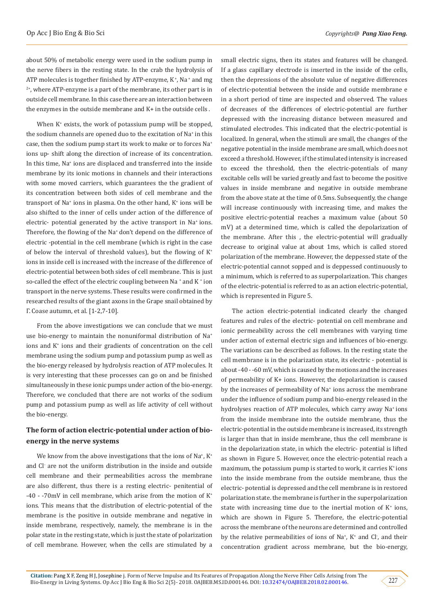about 50% of metabolic energy were used in the sodium pump in the nerve fibers in the resting state. In the crab the hydrolysis of ATP molecules is together finished by ATP-enzyme,  $K^*$ . Na  $^*$  and mg  $2^+$ , where ATP-enzyme is a part of the membrane, its other part is in outside cell membrane. In this case there are an interaction between the enzymes in the outside membrane and K+ in the outside cells .

When K<sup>+</sup> exists, the work of potassium pump will be stopped, the sodium channels are opened duo to the excitation of Na+ in this case, then the sodium pump start its work to make or to forces Na<sup>+</sup> ions up- shift along the direction of increase of its concentration. In this time, Na<sup>+</sup> ions are displaced and transferred into the inside membrane by its ionic motions in channels and their interactions with some moved carriers, which guarantees the the gradient of its concentration between both sides of cell membrane and the transport of Na<sup>+</sup> ions in plasma. On the other hand, K<sup>+</sup> ions will be also shifted to the inner of cells under action of the difference of electric- potential generated by the active transport in Na<sup>+</sup> ions. Therefore, the flowing of the Na<sup>+</sup> don't depend on the difference of electric -potential in the cell membrane (which is right in the case of below the interval of threshold values), but the flowing of  $K^+$ ions in inside cell is increased with the increase of the difference of electric-potential between both sides of cell membrane. This is just so-called the effect of the electric coupling between Na  $^*$  and K  $^*$  ion transport in the nerve systems. These results were confirmed in the researched results of the giant axons in the Grape snail obtained by Γ. Coase autumn, et al. [1-2,7-10].

From the above investigations we can conclude that we must use bio-energy to maintain the nonuniformal distribution of Na<sup>+</sup> ions and K<sup>+</sup> ions and their gradients of concentration on the cell membrane using the sodium pump and potassium pump as well as the bio-energy released by hydrolysis reaction of ATP molecules. It is very interesting that these processes can go on and be finished simultaneously in these ionic pumps under action of the bio-energy. Therefore, we concluded that there are not works of the sodium pump and potassium pump as well as life activity of cell without the bio-energy.

# **The form of action electric-potential under action of bioenergy in the nerve systems**

We know from the above investigations that the ions of  $\text{Na}^{\ast}$ ,  $\text{K}^{\ast}$ and Cl- are not the uniform distribution in the inside and outside cell membrane and their permeabilities across the membrane are also different, thus there is a resting electric- penitential of -40 - -70mV in cell membrane, which arise from the motion of K+ ions. This means that the distribution of electric-potential of the membrane is the positive in outside membrane and negative in inside membrane, respectively, namely, the membrane is in the polar state in the resting state, which is just the state of polarization of cell membrane. However, when the cells are stimulated by a

small electric signs, then its states and features will be changed. If a glass capillary electrode is inserted in the inside of the cells, then the depressions of the absolute value of negative differences of electric-potential between the inside and outside membrane e in a short period of time are inspected and observed. The values of decreases of the differences of electric-potential are further depressed with the increasing distance between measured and stimulated electrodes. This indicated that the electric-potential is localized. In general, when the stimuli are small, the changes of the negative potential in the inside membrane are small, which does not exceed a threshold. However, if the stimulated intensity is increased to exceed the threshold, then the electric-potentials of many excitable cells will be varied greatly and fast to become the positive values in inside membrane and negative in outside membrane from the above state at the time of 0.5ms. Subsequently, the change will increase continuously with increasing time, and makes the positive electric-potential reaches a maximum value (about 50 mV) at a determined time, which is called the depolarization of the membrane. After this , the electric-potential will gradually decrease to original value at about 1ms, which is called stored polarization of the membrane. However, the deppessed state of the electric-potential cannot sopped and is deppessed continuously to a minimum, which is referred to as superpolarization. This changes of the electric-potential is referred to as an action electric-potential, which is represented in Figure 5.

The action electric-potential indicated clearly the changed features and rules of the electric- potential on cell membrane and ionic permeability across the cell membranes with varying time under action of external electric sign and influences of bio-energy. The variations can be described as follows. In the resting state the cell membrane is in the polarization state, its electric - potential is about -40 - -60 mV, which is caused by the motions and the increases of permeability of K+ ions. However, the depolarization is caused by the increases of permeability of Na+ ions across the membrane under the influence of sodium pump and bio-energy released in the hydrolyses reaction of ATP molecules, which carry away Na<sup>+</sup> ions from the inside membrane into the outside membrane, thus the electric-potential in the outside membrane is increased, its strength is larger than that in inside membrane, thus the cell membrane is in the depolarization state, in which the electric- potential is lifted as shown in Figure 5. However, once the electric-potential reach a maximum, the potassium pump is started to work, it carries  $K^*$  ions into the inside membrane from the outside membrane, thus the electric- potential is depressed and the cell membrane is in restored polarization state. the membrane is further in the superpolarization state with increasing time due to the inertial motion of  $K^*$  ions, which are shown in Figure 5. Therefore, the electric-potential across the membrane of the neurons are determined and controlled by the relative permeabilities of ions of  $\text{Na}^*$ ,  $\text{K}^*$  and  $\text{Cl}$ , and their concentration gradient across membrane, but the bio-energy,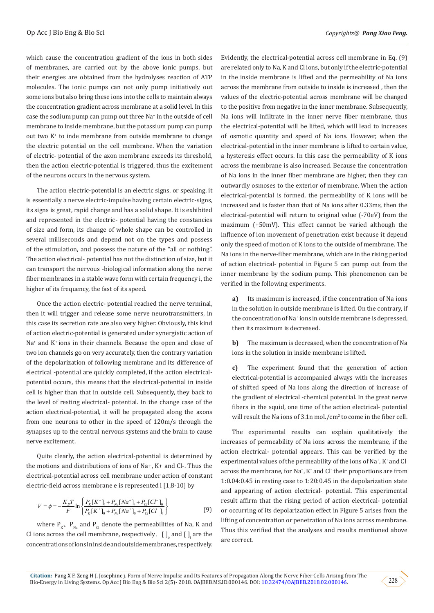which cause the concentration gradient of the ions in both sides of membranes, are carried out by the above ionic pumps, but their energies are obtained from the hydrolyses reaction of ATP molecules. The ionic pumps can not only pump initiatively out some ions but also bring these ions into the cells to maintain always the concentration gradient across membrane at a solid level. In this case the sodium pump can pump out three Na+ in the outside of cell membrane to inside membrane, but the potassium pump can pump out two K<sup>+</sup> to inde membrane from outside membrane to change the electric potential on the cell membrane. When the variation of electric- potential of the axon membrane exceeds its threshold, then the action electric-potential is triggered, thus the excitement of the neurons occurs in the nervous system.

The action electric-potential is an electric signs, or speaking, it is essentially a nerve electric-impulse having certain electric-signs, its signs is great, rapid change and has a solid shape. It is exhibited and represented in the electric- potential having the constancies of size and form, its change of whole shape can be controlled in several milliseconds and depend not on the types and possess of the stimulation, and possess the nature of the "all or nothing". The action electrical- potential has not the distinction of size, but it can transport the nervous -biological information along the nerve fiber membranes in a stable wave form with certain frequency i, the higher of its frequency, the fast of its speed.

Once the action electric- potential reached the nerve terminal, then it will trigger and release some nerve neurotransmitters, in this case its secretion rate are also very higher. Obviously, this kind of action electric-potential is generated under synergistic action of Na+ and K+ ions in their channels. Because the open and close of two ion channels go on very accurately, then the contrary variation of the depolarization of following membrane and its difference of electrical -potential are quickly completed, if the action electricalpotential occurs, this means that the electrical-potential in inside cell is higher than that in outside cell. Subsequently, they back to the level of resting electrical- potential. In the change case of the action electrical-potential, it will be propagated along the axons from one neurons to other in the speed of 120m/s through the synapses up to the central nervous systems and the brain to cause nerve excitement.

Quite clearly, the action electrical-potential is determined by the motions and distributions of ions of Na+, K+ and Cl-. Thus the electrical-potential across cell membrane under action of constant electric-field across membrane e is represented l [1,8-10] by

$$
V = \phi = -\frac{K_B T}{F} \ln \left\{ \frac{P_K [K^+]_i + P_{Na} [Na^+]_i + P_{Cl} [Cl^-]_0}{P_K [K^+]_0 + P_{Na} [Na^+]_0 + P_{Cl} [Cl^-]_i} \right\}
$$
(9)

where  $P_{K^*}$ ,  $P_{N_a}$  and  $P_{C}$  denote the permeabilities of Na, K and Cl ions across the cell membrane, respectively,  $\;$  [  $\; ]_{{}_0}$  and [  $\; ]_{{}_i}$  are the concentrations of ions in inside and outside membranes, respectively.

Evidently, the electrical-potential across cell membrane in Eq. (9) are related only to Na, K and Cl ions, but only if the electric-potential in the inside membrane is lifted and the permeability of Na ions across the membrane from outside to inside is increased , then the values of the electric-potential across membrane will be changed to the positive from negative in the inner membrane. Subsequently, Na ions will infiltrate in the inner nerve fiber membrane, thus the electrical-potential will be lifted, which will lead to increases of osmotic quantity and speed of Na ions. However, when the electrical-potential in the inner membrane is lifted to certain value, a hysteresis effect occurs. In this case the permeability of K ions across the membrane is also increased. Because the concentration of Na ions in the inner fiber membrane are higher, then they can outwardly osmoses to the exterior of membrane. When the action electrical-potential is formed, the permeability of K ions will be increased and is faster than that of Na ions after 0.33ms, then the electrical-potential will return to original value (-70eV) from the maximum (+50mV). This effect cannot be varied although the influence of ion movement of penetration exist because it depend only the speed of motion of K ions to the outside of membrane. The Na ions in the nerve-fiber membrane, which are in the rising period of action electrical- potential in Figure 5 can pump out from the inner membrane by the sodium pump. This phenomenon can be verified in the following experiments.

**a)** Its maximum is increased, if the concentration of Na ions in the solution in outside membrane is lifted. On the contrary, if the concentration of Na+ ions in outside membrane is depressed, then its maximum is decreased.

**b)** The maximum is decreased, when the concentration of Na ions in the solution in inside membrane is lifted.

**c)** The experiment found that the generation of action electrical-potential is accompanied always with the increases of shifted speed of Na ions along the direction of increase of the gradient of electrical -chemical potential. In the great nerve fibers in the squid, one time of the action electrical- potential will result the Na ions of  $3.1n$  mol./ $cm<sup>2</sup>$  to come in the fiber cell.

The experimental results can explain qualitatively the increases of permeability of Na ions across the membrane, if the action electrical- potential appears. This can be verified by the experimental values of the permeability of the ions of Na+ , K+ and Clacross the membrane, for Na<sup>+</sup> , K+ and Cl- their proportions are from 1:0.04:0.45 in resting case to 1:20:0.45 in the depolarization state and appearing of action electrical- potential. This experimental result affirm that the rising period of action electrical- potential or occurring of its depolarization effect in Figure 5 arises from the lifting of concentration or penetration of Na ions across membrane. Thus this verified that the analyses and results mentioned above are correct.